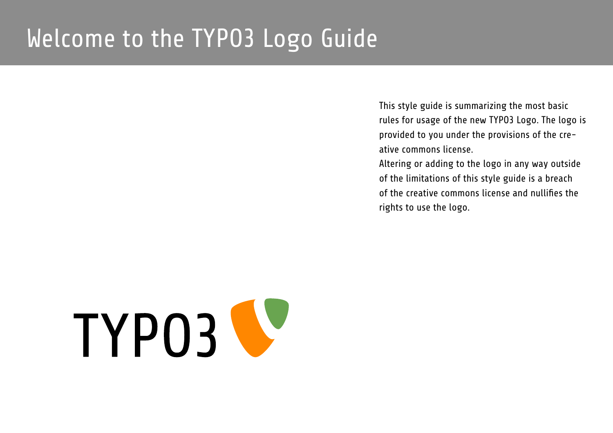## Welcome to the TYPO3 Logo Guide

This style guide is summarizing the most basic rules for usage of the new TYPO3 Logo. The logo is provided to you under the provisions of the creative commons license.

Altering or adding to the logo in any way outside of the limitations of this style guide is a breach of the creative commons license and nullifies the rights to use the logo.

# TYP03 V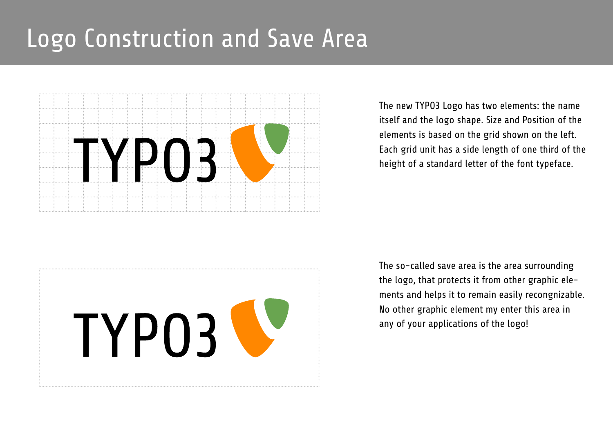## Logo Construction and Save Area



The new TYPO3 Logo has two elements: the name itself and the logo shape. Size and Position of the elements is based on the grid shown on the left. Each grid unit has a side length of one third of the height of a standard letter of the font typeface.



The so-called save area is the area surrounding the logo, that protects it from other graphic elements and helps it to remain easily recongnizable. No other graphic element my enter this area in any of your applications of the logo!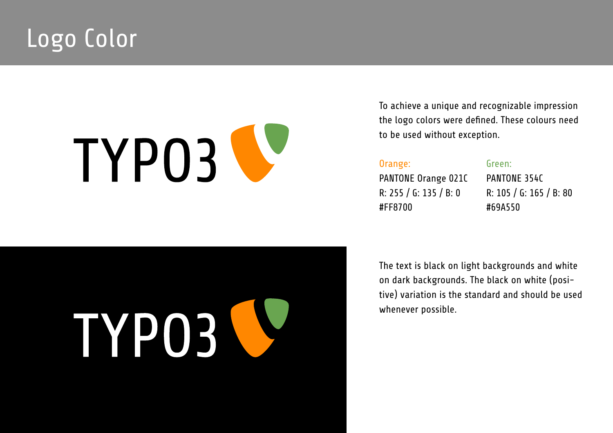## Logo Color

## TYPO3 V

TYP03

To achieve a unique and recognizable impression the logo colors were defined. These colours need to be used without exception.

#### Orange:

PANTONE Orange 021C R: 255 / G: 135 / B: 0 #FF8700

#### Green:

PANTONE 354C R: 105 / G: 165 / B: 80 #69A550

#### The text is black on light backgrounds and white on dark backgrounds. The black on white (positive) variation is the standard and should be used whenever possible.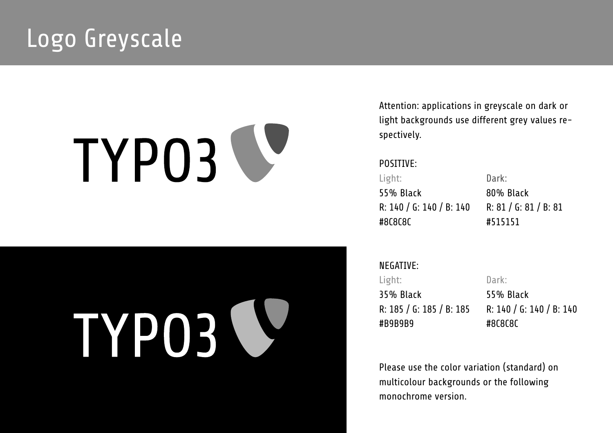## Logo Greyscale

# TYP03

TYP03

Attention: applications in greyscale on dark or light backgrounds use different grey values respectively.

#### POSITIVE:

Light: 55% Black R: 140 / G: 140 / B: 140 #8C8C8C

Dark: 80% Black R: 81 / G: 81 / B: 81 #515151

NEGATIVE: Light: 35% Black R: 185 / G: 185 / B: 185 #B9B9B9

Dark: 55% Black R: 140 / G: 140 / B: 140 #8C8C8C

Please use the color variation (standard) on multicolour backgrounds or the following monochrome version.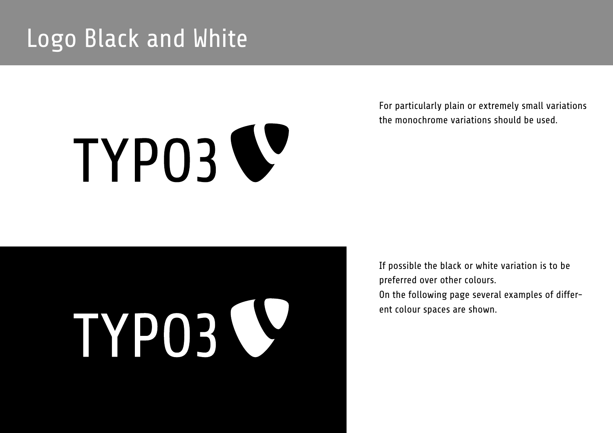## Logo Black and White

# TYP03 V

For particularly plain or extremely small variations the monochrome variations should be used.

# TYP03 J

If possible the black or white variation is to be preferred over other colours. On the following page several examples of different colour spaces are shown.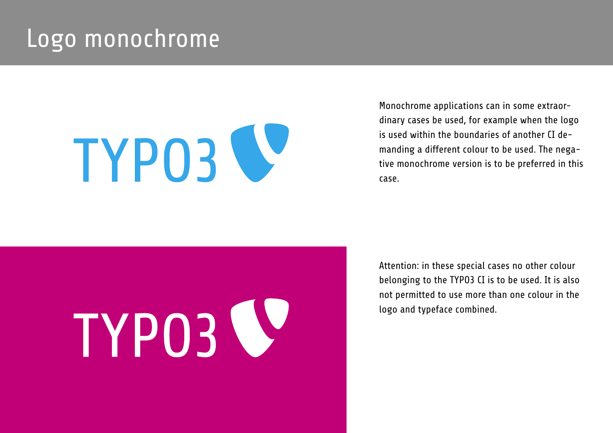### Logo monochrome

# TYP03 V

Monochrome applications can in some extraordinary cases be used, for example when the logo is used within the boundaries of another CI demanding a different colour to be used. The negative monochrome version is to be preferred in this case.

# TYP03 V

Attention: in these special cases no other colour belonging to the TYPO3 CI is to be used. It is also not permitted to use more than one colour in the logo and typeface combined.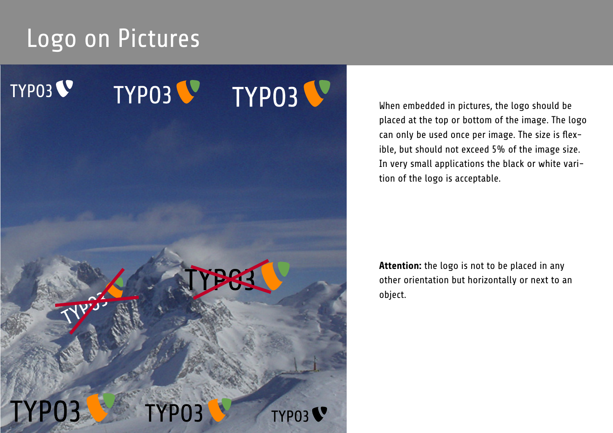## Logo on Pictures



When embedded in pictures, the logo should be placed at the top or bottom of the image. The logo can only be used once per image. The size is flexible, but should not exceed 5% of the image size. In very small applications the black or white varition of the logo is acceptable.

**Attention:** the logo is not to be placed in any other orientation but horizontally or next to an object.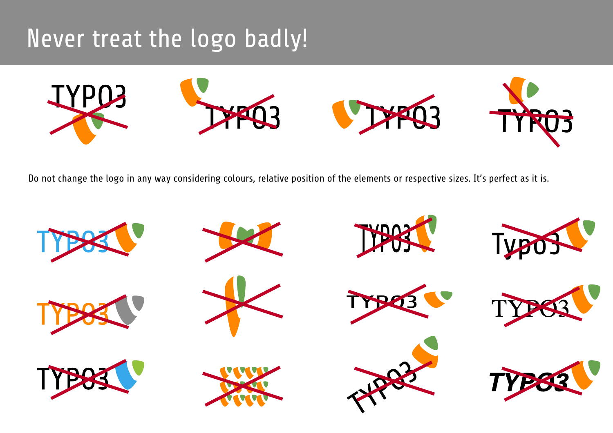## Never treat the logo badly!



Do not change the logo in any way considering colours, relative position of the elements or respective sizes. It's perfect as it is.